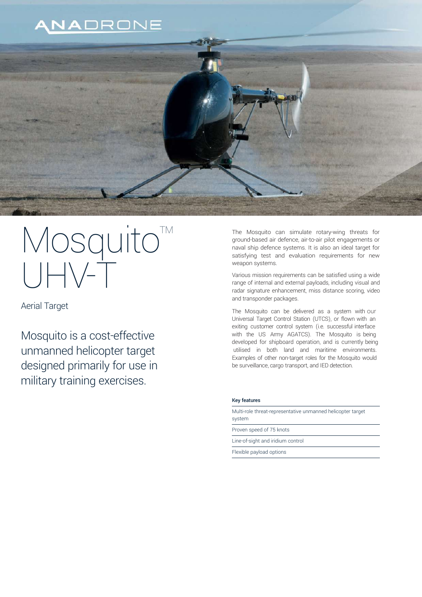# ANADRONE



# Mosquito<sup>M</sup>  $\begin{array}{c} \hline \rule{0pt}{2ex} \\[-1mm] \rule{0pt}{2ex} \end{array} \begin{array}{c} \hline \rule{0pt}{2ex} \\[-1mm] \end{array}$

Aerial Target

Mosquito is a cost-effective unmanned helicopter target designed primarily for use in military training exercises.

The Mosquito can simulate rotary-wing threats for ground-based air defence, air-to-air pilot engagements or naval ship defence systems. It is also an ideal target for satisfying test and evaluation requirements for new weapon systems.

Various mission requirements can be satisfied using a wide range of internal and external payloads, including visual and radar signature enhancement, miss distance scoring, video and transponder packages.

The Mosquito can be delivered as a system with our Universal Target Control Station (UTCS), or flown with an exiting customer control system (i.e. successful interface with the US Army AGATCS). The Mosquito is being developed for shipboard operation, and is currently being utilised in both land and maritime environments. Examples of other non-target roles for the Mosquito would be surveillance, cargo transport, and IED detection.

## Key features

Multi-role threat-representative unmanned helicopter target system

Proven speed of 75 knots

Line-of-sight and iridium control

Flexible payload options